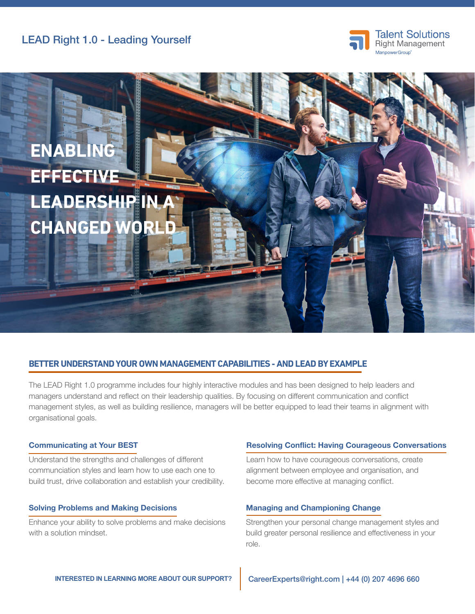



## **BETTER UNDERSTAND YOUR OWN MANAGEMENT CAPABILITIES- AND LEAD BY EXAMPLE**

The LEAD Right 1.0 programme includes four highly interactive modules and has been designed to help leaders and managers understand and reflect on their leadership qualities. By focusing on different communication and conflict management styles, as well as building resilience, managers will be better equipped to lead their teams in alignment with organisational goals.

## Communicating at Your BEST

Understand the strengths and challenges of different communciation styles and learn how to use each one to build trust, drive collaboration and establish your credibility.

## Solving Problems and Making Decisions

Enhance your ability to solve problems and make decisions with a solution mindset.

## Resolving Conflict: Having Courageous Conversations

Learn how to have courageous conversations, create alignment between employee and organisation, and become more effective at managing conflict.

## Managing and Championing Change

Strengthen your personal change management styles and build greater personal resilience and effectiveness in your role.